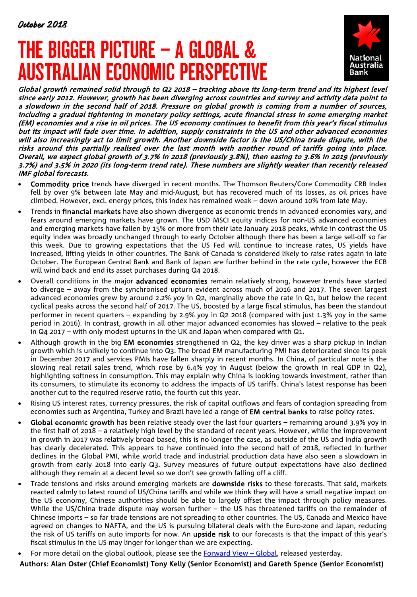# THE BIGGER PICTURE – A GLOBAL & AUSTRALIAN ECONOMIC PERSPECTIVE



Global growth remained solid through to Q2 2018 – tracking above its long-term trend and its highest level since early 2012. However, growth has been diverging across countries and survey and activity data point to a slowdown in the second half of 2018. Pressure on global growth is coming from a number of sources, including a gradual tightening in monetary policy settings, acute financial stress in some emerging market (EM) economies and a rise in oil prices. The US economy continues to benefit from this year's fiscal stimulus but its impact will fade over time. In addition, supply constraints in the US and other advanced economies will also increasingly act to limit growth. Another downside factor is the US/China trade dispute, with the risks around this partially realised over the last month with another round of tariffs going into place. Overall, we expect global growth of 3.7% in 2018 (previously 3.8%), then easing to 3.6% in 2019 (previously 3.7%) and 3.5% in 2020 (its long-term trend rate). These numbers are slightly weaker than recently released IMF global forecasts.

- Commodity price trends have diverged in recent months. The Thomson Reuters/Core Commodity CRB Index fell by over 9% between late May and mid-August, but has recovered much of its losses, as oil prices have climbed. However, excl. energy prices, this index has remained weak – down around 10% from late May.
- Trends in financial markets have also shown divergence as economic trends in advanced economies vary, and fears around emerging markets have grown. The USD MSCI equity indices for non-US advanced economies and emerging markets have fallen by 15% or more from their late January 2018 peaks, while in contrast the US equity index was broadly unchanged through to early October although there has been a large sell-off so far this week. Due to growing expectations that the US Fed will continue to increase rates, US yields have increased, lifting yields in other countries. The Bank of Canada is considered likely to raise rates again in late October. The European Central Bank and Bank of Japan are further behind in the rate cycle, however the ECB will wind back and end its asset purchases during Q4 2018.
- Overall conditions in the major advanced economies remain relatively strong, however trends have started to diverge – away from the synchronised upturn evident across much of 2016 and 2017. The seven largest advanced economies grew by around 2.2% yoy in Q2, marginally above the rate in Q1, but below the recent cyclical peaks across the second half of 2017. The US, boosted by a large fiscal stimulus, has been the standout performer in recent quarters – expanding by 2.9% yoy in Q2 2018 (compared with just 1.3% yoy in the same period in 2016). In contrast, growth in all other major advanced economies has slowed – relative to the peak in Q4 2017 – with only modest upturns in the UK and Japan when compared with Q1.
- Although growth in the big **EM economies** strengthened in Q2, the key driver was a sharp pickup in Indian growth which is unlikely to continue into Q3. The broad EM manufacturing PMI has deteriorated since its peak in December 2017 and services PMIs have fallen sharply in recent months. In China, of particular note is the slowing real retail sales trend, which rose by 6.4% yoy in August (below the growth in real GDP in Q2), highlighting softness in consumption. This may explain why China is looking towards investment, rather than its consumers, to stimulate its economy to address the impacts of US tariffs. China's latest response has been another cut to the required reserve ratio, the fourth cut this year.
- Rising US interest rates, currency pressures, the risk of capital outflows and fears of contagion spreading from economies such as Argentina, Turkey and Brazil have led a range of **EM central banks** to raise policy rates.
- Global economic growth has been relative steady over the last four quarters remaining around 3.9% yoy in the first half of 2018 – a relatively high level by the standard of recent years. However, while the improvement in growth in 2017 was relatively broad based, this is no longer the case, as outside of the US and India growth has clearly decelerated. This appears to have continued into the second half of 2018, reflected in further declines in the Global PMI, while world trade and industrial production data have also seen a slowdown in growth from early 2018 into early Q3. Survey measures of future output expectations have also declined although they remain at a decent level so we don't see growth falling off a cliff.
- Trade tensions and risks around emerging markets are **downside risks** to these forecasts. That said, markets reacted calmly to latest round of US/China tariffs and while we think they will have a small negative impact on the US economy, Chinese authorities should be able to largely offset the impact through policy measures. While the US/China trade dispute may worsen further – the US has threatened tariffs on the remainder of Chinese imports – so far trade tensions are not spreading to other countries. The US, Canada and Mexico have agreed on changes to NAFTA, and the US is pursuing bilateral deals with the Euro-zone and Japan, reducing the risk of US tariffs on auto imports for now. An upside risk to our forecasts is that the impact of this year's fiscal stimulus in the US may linger for longer than we are expecting.
- For more detail on the global outlook, please see the Forward View Global, released yesterday.

Authors: Alan Oster (Chief Economist) Tony Kelly (Senior Economist) and Gareth Spence (Senior Economist)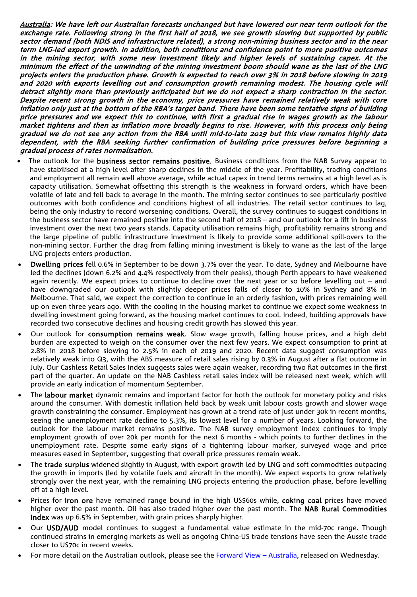Australia: We have left our Australian forecasts unchanged but have lowered our near term outlook for the exchange rate. Following strong in the first half of 2018, we see growth slowing but supported by public sector demand (both NDIS and infrastructure related), a strong non-mining business sector and in the near term LNG-led export growth. In addition, both conditions and confidence point to more positive outcomes in the mining sector, with some new investment likely and higher levels of sustaining capex. At the minimum the effect of the unwinding of the mining investment boom should wane as the last of the LNG projects enters the production phase. Growth is expected to reach over 3% in 2018 before slowing in 2019 and 2020 with exports levelling out and consumption growth remaining modest. The housing cycle will detract slightly more than previously anticipated but we do not expect a sharp contraction in the sector. Despite recent strong growth in the economy, price pressures have remained relatively weak with core inflation only just at the bottom of the RBA's target band. There have been some tentative signs of building price pressures and we expect this to continue, with first a gradual rise in wages growth as the labour market tightens and then as inflation more broadly begins to rise. However, with this process only being gradual we do not see any action from the RBA until mid-to-late 2o19 but this view remains highly data dependent, with the RBA seeking further confirmation of building price pressures before beginning a gradual process of rates normalisation.

- The outlook for the business sector remains positive. Business conditions from the NAB Survey appear to have stabilised at a high level after sharp declines in the middle of the year. Profitability, trading conditions and employment all remain well above average, while actual capex in trend terms remains at a high level as is capacity utilisation. Somewhat offsetting this strength is the weakness in forward orders, which have been volatile of late and fell back to average in the month. The mining sector continues to see particularly positive outcomes with both confidence and conditions highest of all industries. The retail sector continues to lag, being the only industry to record worsening conditions. Overall, the survey continues to suggest conditions in the business sector have remained positive into the second half of 2018 – and our outlook for a lift in business investment over the next two years stands. Capacity utilisation remains high, profitability remains strong and the large pipeline of public infrastructure investment is likely to provide some additional spill-overs to the non-mining sector. Further the drag from falling mining investment is likely to wane as the last of the large LNG projects enters production.
- Dwelling prices fell 0.6% in September to be down 3.7% over the year. To date, Sydney and Melbourne have led the declines (down 6.2% and 4.4% respectively from their peaks), though Perth appears to have weakened again recently. We expect prices to continue to decline over the next year or so before levelling out – and have downgraded our outlook with slightly deeper prices falls of closer to 10% in Sydney and 8% in Melbourne. That said, we expect the correction to continue in an orderly fashion, with prices remaining well up on even three years ago. With the cooling in the housing market to continue we expect some weakness in dwelling investment going forward, as the housing market continues to cool. Indeed, building approvals have recorded two consecutive declines and housing credit growth has slowed this year.
- Our outlook for consumption remains weak. Slow wage growth, falling house prices, and a high debt burden are expected to weigh on the consumer over the next few years. We expect consumption to print at 2.8% in 2018 before slowing to 2.5% in each of 2019 and 2020. Recent data suggest consumption was relatively weak into Q3, with the ABS measure of retail sales rising by 0.3% in August after a flat outcome in July. Our Cashless Retail Sales Index suggests sales were again weaker, recording two flat outcomes in the first part of the quarter. An update on the NAB Cashless retail sales index will be released next week, which will provide an early indication of momentum September.
- The labour market dynamic remains and important factor for both the outlook for monetary policy and risks around the consumer. With domestic inflation held back by weak unit labour costs growth and slower wage growth constraining the consumer. Employment has grown at a trend rate of just under 30k in recent months, seeing the unemployment rate decline to 5.3%, its lowest level for a number of years. Looking forward, the outlook for the labour market remains positive. The NAB survey employment index continues to imply employment growth of over 20k per month for the next 6 months - which points to further declines in the unemployment rate. Despite some early signs of a tightening labour marker, surveyed wage and price measures eased in September, suggesting that overall price pressures remain weak.
- The trade surplus widened slightly in August, with export growth led by LNG and soft commodities outpacing the growth in imports (led by volatile fuels and aircraft in the month). We expect exports to grow relatively strongly over the next year, with the remaining LNG projects entering the production phase, before levelling off at a high level.
- Prices for iron ore have remained range bound in the high US\$60s while, coking coal prices have moved higher over the past month. Oil has also traded higher over the past month. The **NAB Rural Commodities** Index was up 6.5% in September, with grain prices sharply higher.
- Our USD/AUD model continues to suggest a fundamental value estimate in the mid-70c range. Though continued strains in emerging markets as well as ongoing China-US trade tensions have seen the Aussie trade closer to US70c in recent weeks.
- For more detail on the Australian outlook, please see the Forward View Australia, released on Wednesday.